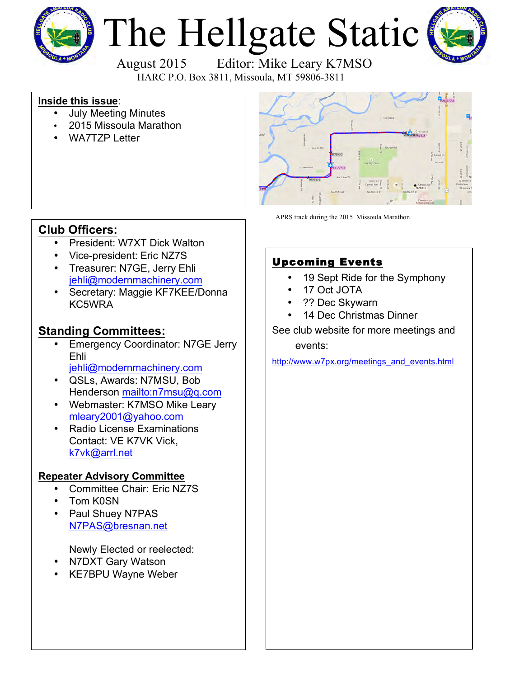

# The Hellgate Static



 August 2015 Editor: Mike Leary K7MSO HARC P.O. Box 3811, Missoula, MT 59806-3811

#### **Inside this issue**:

- July Meeting Minutes
- 2015 Missoula Marathon
- WA7TZP Letter



APRS track during the 2015 Missoula Marathon.

## **Club Officers:**

- President: W7XT Dick Walton
- Vice-president: Eric NZ7S
- Treasurer: N7GE, Jerry Ehli [jehli@modernmachinery.com](mailto:jehli@modernmachinery.com?subject=Hellgate Amateur Radio Club Info)
- Secretary: Maggie KF7KEE/Donna KC5WRA

## **Standing Committees:**

- **Emergency Coordinator: N7GE Jerry** Ehli
	- [jehli@modernmachinery.com](mailto:jehli@modernmachinery.com?subject=Hellgate Amateur Radio Club Info)
- QSLs, Awards: N7MSU, Bob Henderson <mailto:n7msu@q.com>
- Webmaster: K7MSO Mike Leary [mleary2001@yahoo.com](mailto:mleary2001@yahoo.com?subject=Hellgate Amateur Radio Club Web Site Info)
- Radio License Examinations Contact: VE K7VK Vick, [k7vk@arrl.net](mailto:k7vk@arrl.net?subject=Hellgate Amateur Radio Club License Exams)

#### **Repeater Advisory Committee**

- Committee Chair: Eric NZ7S
- Tom K0SN
- Paul Shuey N7PAS N7PAS@bresnan.net

Newly Elected or reelected:

- N7DXT Gary Watson
- KE7BPU Wayne Weber

# Upcoming Events

- 19 Sept Ride for the Symphony
- 17 Oct JOTA
- ?? Dec Skywarn
- 14 Dec Christmas Dinner

See club website for more meetings and events:

[http://www.w7px.org/meetings\\_and\\_events.html](http://www.w7px.org/meetings_and_events.html)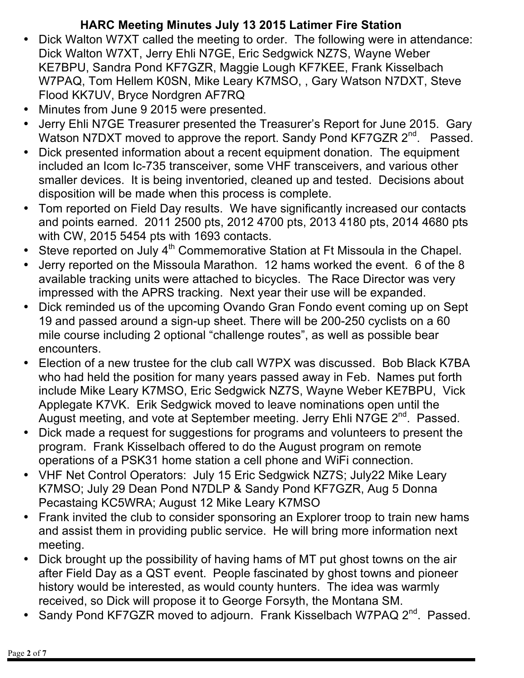# **HARC Meeting Minutes July 13 2015 Latimer Fire Station**

- Dick Walton W7XT called the meeting to order. The following were in attendance: Dick Walton W7XT, Jerry Ehli N7GE, Eric Sedgwick NZ7S, Wayne Weber KE7BPU, Sandra Pond KF7GZR, Maggie Lough KF7KEE, Frank Kisselbach W7PAQ, Tom Hellem K0SN, Mike Leary K7MSO, , Gary Watson N7DXT, Steve Flood KK7UV, Bryce Nordgren AF7RQ
- Minutes from June 9 2015 were presented.
- Jerry Ehli N7GE Treasurer presented the Treasurer's Report for June 2015. Gary Watson N7DXT moved to approve the report. Sandy Pond KF7GZR 2<sup>nd</sup>. Passed.
- Dick presented information about a recent equipment donation. The equipment included an Icom Ic-735 transceiver, some VHF transceivers, and various other smaller devices. It is being inventoried, cleaned up and tested. Decisions about disposition will be made when this process is complete.
- Tom reported on Field Day results. We have significantly increased our contacts and points earned. 2011 2500 pts, 2012 4700 pts, 2013 4180 pts, 2014 4680 pts with CW, 2015 5454 pts with 1693 contacts.
- Steve reported on July  $4<sup>th</sup>$  Commemorative Station at Ft Missoula in the Chapel.
- Jerry reported on the Missoula Marathon. 12 hams worked the event. 6 of the 8 available tracking units were attached to bicycles. The Race Director was very impressed with the APRS tracking. Next year their use will be expanded.
- Dick reminded us of the upcoming Ovando Gran Fondo event coming up on Sept 19 and passed around a sign-up sheet. There will be 200-250 cyclists on a 60 mile course including 2 optional "challenge routes", as well as possible bear encounters.
- Election of a new trustee for the club call W7PX was discussed. Bob Black K7BA who had held the position for many years passed away in Feb. Names put forth include Mike Leary K7MSO, Eric Sedgwick NZ7S, Wayne Weber KE7BPU, Vick Applegate K7VK. Erik Sedgwick moved to leave nominations open until the August meeting, and vote at September meeting. Jerry Ehli N7GE  $2^{nd}$ . Passed.
- Dick made a request for suggestions for programs and volunteers to present the program. Frank Kisselbach offered to do the August program on remote operations of a PSK31 home station a cell phone and WiFi connection.
- VHF Net Control Operators: July 15 Eric Sedgwick NZ7S; July22 Mike Leary K7MSO; July 29 Dean Pond N7DLP & Sandy Pond KF7GZR, Aug 5 Donna Pecastaing KC5WRA; August 12 Mike Leary K7MSO
- Frank invited the club to consider sponsoring an Explorer troop to train new hams and assist them in providing public service. He will bring more information next meeting.
- Dick brought up the possibility of having hams of MT put ghost towns on the air after Field Day as a QST event. People fascinated by ghost towns and pioneer history would be interested, as would county hunters. The idea was warmly received, so Dick will propose it to George Forsyth, the Montana SM.
- Sandy Pond KF7GZR moved to adjourn. Frank Kisselbach W7PAQ 2<sup>nd</sup>. Passed.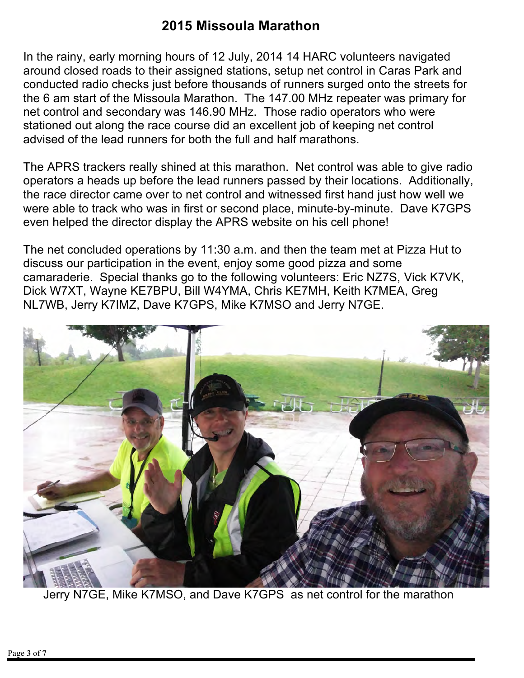# **2015 Missoula Marathon**

In the rainy, early morning hours of 12 July, 2014 14 HARC volunteers navigated around closed roads to their assigned stations, setup net control in Caras Park and conducted radio checks just before thousands of runners surged onto the streets for the 6 am start of the Missoula Marathon. The 147.00 MHz repeater was primary for net control and secondary was 146.90 MHz. Those radio operators who were stationed out along the race course did an excellent job of keeping net control advised of the lead runners for both the full and half marathons.

The APRS trackers really shined at this marathon. Net control was able to give radio operators a heads up before the lead runners passed by their locations. Additionally, the race director came over to net control and witnessed first hand just how well we were able to track who was in first or second place, minute-by-minute. Dave K7GPS even helped the director display the APRS website on his cell phone!

The net concluded operations by 11:30 a.m. and then the team met at Pizza Hut to discuss our participation in the event, enjoy some good pizza and some camaraderie. Special thanks go to the following volunteers: Eric NZ7S, Vick K7VK, Dick W7XT, Wayne KE7BPU, Bill W4YMA, Chris KE7MH, Keith K7MEA, Greg NL7WB, Jerry K7IMZ, Dave K7GPS, Mike K7MSO and Jerry N7GE.



Jerry N7GE, Mike K7MSO, and Dave K7GPS as net control for the marathon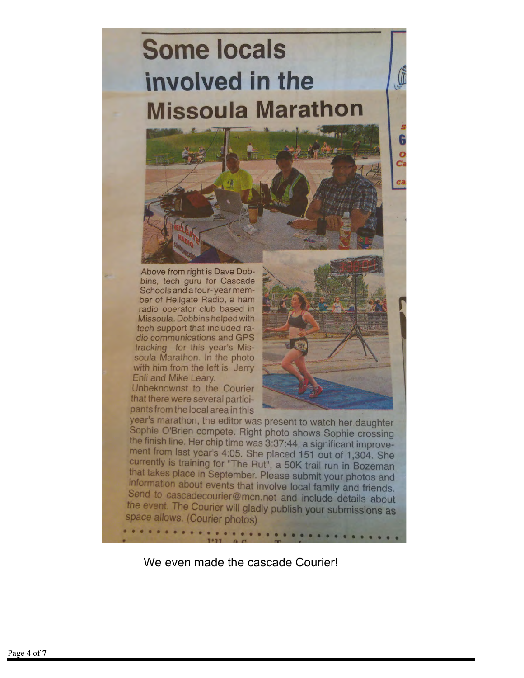# **Some locals** involved in the **Missoula Marathon**



Above from right is Dave Dobbins, tech guru for Cascade Schools and a four-year member of Hellgate Radio, a ham radio operator club based in Missoula. Dobbins helped with tech support that included radio communications and GPS tracking for this year's Missoula Marathon. In the photo with him from the left is Jerry Ehli and Mike Leary.

Unbeknownst to the Courier that there were several participants from the local area in this



 $\mathbb{G}$ 

G Ō Ca

year's marathon, the editor was present to watch her daughter Sophie O'Brien compete. Right photo shows Sophie crossing the finish line. Her chip time was 3:37:44, a significant improvement from last year's 4:05. She placed 151 out of 1,304. She currently is training for "The Rut", a 50K trail run in Bozeman that takes place in September. Please submit your photos and information about events that involve local family and friends. Send to cascadecourier@mcn.net and include details about the event. The Courier will gladly publish your submissions as space allows. (Courier photos)

We even made the cascade Courier!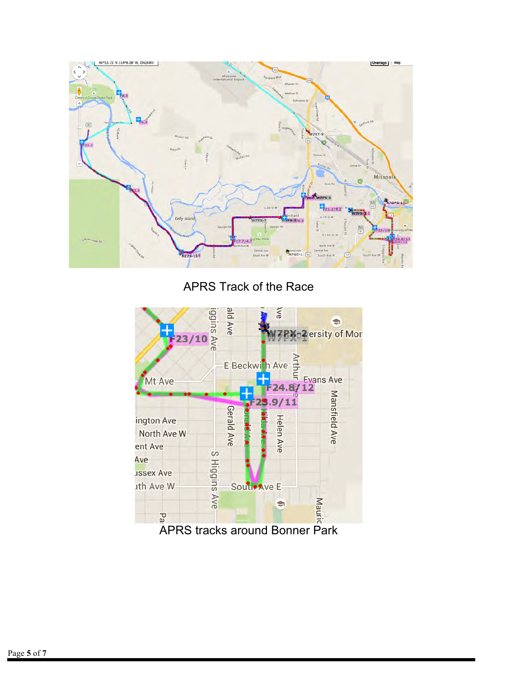

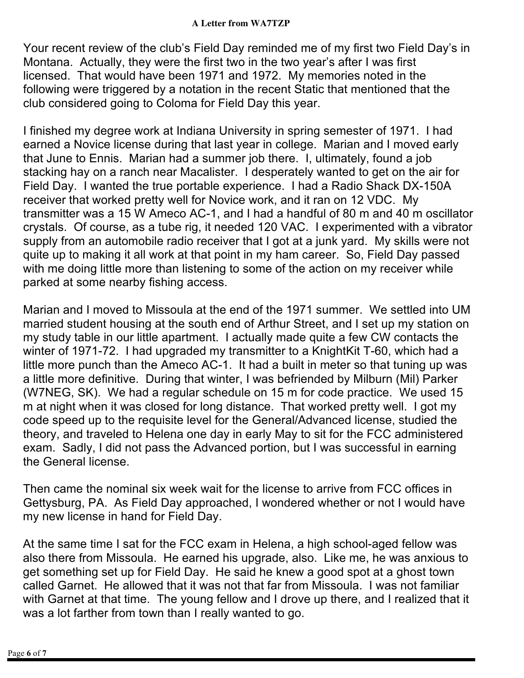Your recent review of the club's Field Day reminded me of my first two Field Day's in Montana. Actually, they were the first two in the two year's after I was first licensed. That would have been 1971 and 1972. My memories noted in the following were triggered by a notation in the recent Static that mentioned that the club considered going to Coloma for Field Day this year.

I finished my degree work at Indiana University in spring semester of 1971. I had earned a Novice license during that last year in college. Marian and I moved early that June to Ennis. Marian had a summer job there. I, ultimately, found a job stacking hay on a ranch near Macalister. I desperately wanted to get on the air for Field Day. I wanted the true portable experience. I had a Radio Shack DX-150A receiver that worked pretty well for Novice work, and it ran on 12 VDC. My transmitter was a 15 W Ameco AC-1, and I had a handful of 80 m and 40 m oscillator crystals. Of course, as a tube rig, it needed 120 VAC. I experimented with a vibrator supply from an automobile radio receiver that I got at a junk yard. My skills were not quite up to making it all work at that point in my ham career. So, Field Day passed with me doing little more than listening to some of the action on my receiver while parked at some nearby fishing access.

Marian and I moved to Missoula at the end of the 1971 summer. We settled into UM married student housing at the south end of Arthur Street, and I set up my station on my study table in our little apartment. I actually made quite a few CW contacts the winter of 1971-72. I had upgraded my transmitter to a KnightKit T-60, which had a little more punch than the Ameco AC-1. It had a built in meter so that tuning up was a little more definitive. During that winter, I was befriended by Milburn (Mil) Parker (W7NEG, SK). We had a regular schedule on 15 m for code practice. We used 15 m at night when it was closed for long distance. That worked pretty well. I got my code speed up to the requisite level for the General/Advanced license, studied the theory, and traveled to Helena one day in early May to sit for the FCC administered exam. Sadly, I did not pass the Advanced portion, but I was successful in earning the General license.

Then came the nominal six week wait for the license to arrive from FCC offices in Gettysburg, PA. As Field Day approached, I wondered whether or not I would have my new license in hand for Field Day.

At the same time I sat for the FCC exam in Helena, a high school-aged fellow was also there from Missoula. He earned his upgrade, also. Like me, he was anxious to get something set up for Field Day. He said he knew a good spot at a ghost town called Garnet. He allowed that it was not that far from Missoula. I was not familiar with Garnet at that time. The young fellow and I drove up there, and I realized that it was a lot farther from town than I really wanted to go.